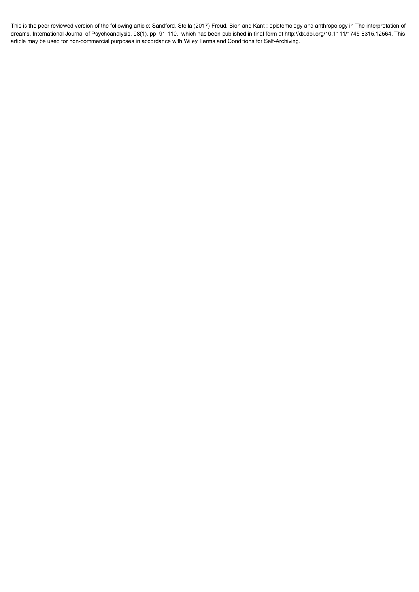This is the peer reviewed version of the following article: Sandford, Stella (2017) Freud, Bion and Kant : epistemology and anthropology in The interpretation of dreams. International Journal of Psychoanalysis, 98(1), pp. 91-110., which has been published in final form at http://dx.doi.org/10.1111/1745-8315.12564. This article may be used for non-commercial purposes in accordance with Wiley Terms and Conditions for Self-Archiving.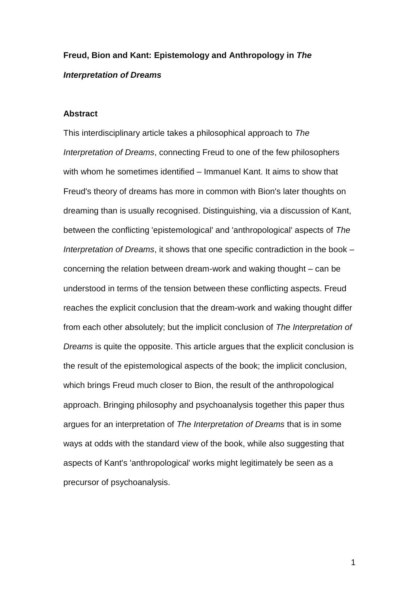# **Freud, Bion and Kant: Epistemology and Anthropology in** *The Interpretation of Dreams*

## **Abstract**

This interdisciplinary article takes a philosophical approach to *The Interpretation of Dreams*, connecting Freud to one of the few philosophers with whom he sometimes identified – Immanuel Kant. It aims to show that Freud's theory of dreams has more in common with Bion's later thoughts on dreaming than is usually recognised. Distinguishing, via a discussion of Kant, between the conflicting 'epistemological' and 'anthropological' aspects of *The Interpretation of Dreams*, it shows that one specific contradiction in the book – concerning the relation between dream-work and waking thought – can be understood in terms of the tension between these conflicting aspects. Freud reaches the explicit conclusion that the dream-work and waking thought differ from each other absolutely; but the implicit conclusion of *The Interpretation of Dreams* is quite the opposite. This article argues that the explicit conclusion is the result of the epistemological aspects of the book; the implicit conclusion, which brings Freud much closer to Bion, the result of the anthropological approach. Bringing philosophy and psychoanalysis together this paper thus argues for an interpretation of *The Interpretation of Dreams* that is in some ways at odds with the standard view of the book, while also suggesting that aspects of Kant's 'anthropological' works might legitimately be seen as a precursor of psychoanalysis.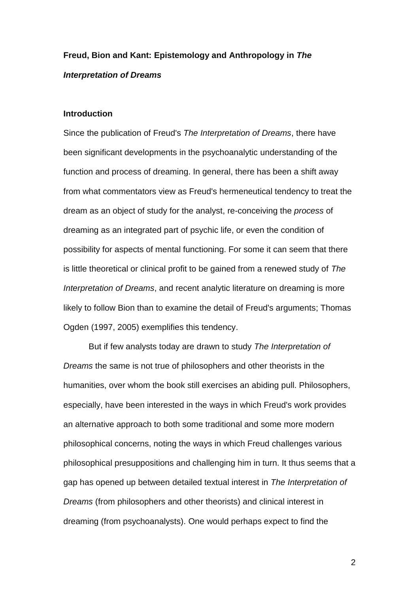# **Freud, Bion and Kant: Epistemology and Anthropology in** *The Interpretation of Dreams*

# **Introduction**

Since the publication of Freud's *The Interpretation of Dreams*, there have been significant developments in the psychoanalytic understanding of the function and process of dreaming. In general, there has been a shift away from what commentators view as Freud's hermeneutical tendency to treat the dream as an object of study for the analyst, re-conceiving the *process* of dreaming as an integrated part of psychic life, or even the condition of possibility for aspects of mental functioning. For some it can seem that there is little theoretical or clinical profit to be gained from a renewed study of *The Interpretation of Dreams*, and recent analytic literature on dreaming is more likely to follow Bion than to examine the detail of Freud's arguments; Thomas Ogden (1997, 2005) exemplifies this tendency.

But if few analysts today are drawn to study *The Interpretation of Dreams* the same is not true of philosophers and other theorists in the humanities, over whom the book still exercises an abiding pull. Philosophers, especially, have been interested in the ways in which Freud's work provides an alternative approach to both some traditional and some more modern philosophical concerns, noting the ways in which Freud challenges various philosophical presuppositions and challenging him in turn. It thus seems that a gap has opened up between detailed textual interest in *The Interpretation of Dreams* (from philosophers and other theorists) and clinical interest in dreaming (from psychoanalysts). One would perhaps expect to find the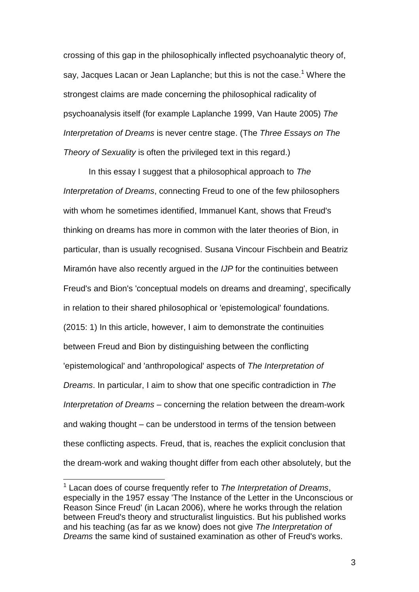crossing of this gap in the philosophically inflected psychoanalytic theory of, say, Jacques Lacan or Jean Laplanche; but this is not the case.<sup>1</sup> Where the strongest claims are made concerning the philosophical radicality of psychoanalysis itself (for example Laplanche 1999, Van Haute 2005) *The Interpretation of Dreams* is never centre stage. (The *Three Essays on The Theory of Sexuality* is often the privileged text in this regard.)

In this essay I suggest that a philosophical approach to *The Interpretation of Dreams*, connecting Freud to one of the few philosophers with whom he sometimes identified, Immanuel Kant, shows that Freud's thinking on dreams has more in common with the later theories of Bion, in particular, than is usually recognised. Susana Vincour Fischbein and Beatriz Miramón have also recently argued in the *IJP* for the continuities between Freud's and Bion's 'conceptual models on dreams and dreaming', specifically in relation to their shared philosophical or 'epistemological' foundations. (2015: 1) In this article, however, I aim to demonstrate the continuities between Freud and Bion by distinguishing between the conflicting 'epistemological' and 'anthropological' aspects of *The Interpretation of Dreams*. In particular, I aim to show that one specific contradiction in *The Interpretation of Dreams* – concerning the relation between the dream-work and waking thought – can be understood in terms of the tension between these conflicting aspects. Freud, that is, reaches the explicit conclusion that the dream-work and waking thought differ from each other absolutely, but the

 $\overline{a}$ 

<sup>1</sup> Lacan does of course frequently refer to *The Interpretation of Dreams*, especially in the 1957 essay 'The Instance of the Letter in the Unconscious or Reason Since Freud' (in Lacan 2006), where he works through the relation between Freud's theory and structuralist linguistics. But his published works and his teaching (as far as we know) does not give *The Interpretation of Dreams* the same kind of sustained examination as other of Freud's works.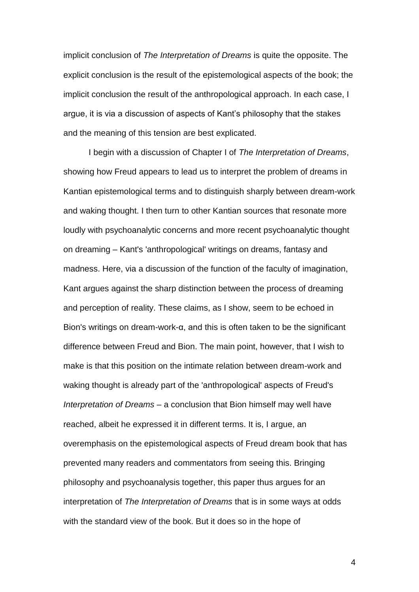implicit conclusion of *The Interpretation of Dreams* is quite the opposite. The explicit conclusion is the result of the epistemological aspects of the book; the implicit conclusion the result of the anthropological approach. In each case, I argue, it is via a discussion of aspects of Kant's philosophy that the stakes and the meaning of this tension are best explicated.

I begin with a discussion of Chapter I of *The Interpretation of Dreams*, showing how Freud appears to lead us to interpret the problem of dreams in Kantian epistemological terms and to distinguish sharply between dream-work and waking thought. I then turn to other Kantian sources that resonate more loudly with psychoanalytic concerns and more recent psychoanalytic thought on dreaming – Kant's 'anthropological' writings on dreams, fantasy and madness. Here, via a discussion of the function of the faculty of imagination, Kant argues against the sharp distinction between the process of dreaming and perception of reality. These claims, as I show, seem to be echoed in Bion's writings on dream-work-α, and this is often taken to be the significant difference between Freud and Bion. The main point, however, that I wish to make is that this position on the intimate relation between dream-work and waking thought is already part of the 'anthropological' aspects of Freud's *Interpretation of Dreams* – a conclusion that Bion himself may well have reached, albeit he expressed it in different terms. It is, I argue, an overemphasis on the epistemological aspects of Freud dream book that has prevented many readers and commentators from seeing this. Bringing philosophy and psychoanalysis together, this paper thus argues for an interpretation of *The Interpretation of Dreams* that is in some ways at odds with the standard view of the book. But it does so in the hope of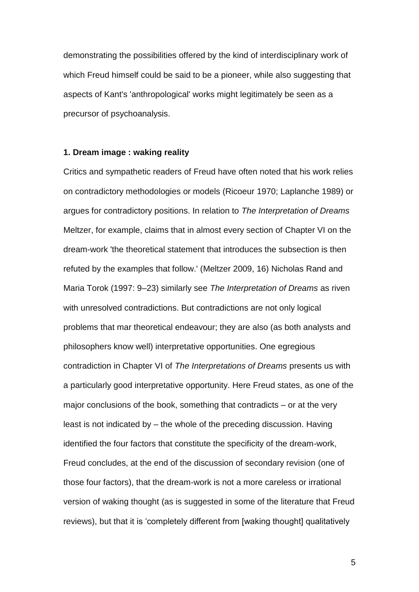demonstrating the possibilities offered by the kind of interdisciplinary work of which Freud himself could be said to be a pioneer, while also suggesting that aspects of Kant's 'anthropological' works might legitimately be seen as a precursor of psychoanalysis.

## **1. Dream image : waking reality**

Critics and sympathetic readers of Freud have often noted that his work relies on contradictory methodologies or models (Ricoeur 1970; Laplanche 1989) or argues for contradictory positions. In relation to *The Interpretation of Dreams* Meltzer, for example, claims that in almost every section of Chapter VI on the dream-work 'the theoretical statement that introduces the subsection is then refuted by the examples that follow.' (Meltzer 2009, 16) Nicholas Rand and Maria Torok (1997: 9–23) similarly see *The Interpretation of Dreams* as riven with unresolved contradictions. But contradictions are not only logical problems that mar theoretical endeavour; they are also (as both analysts and philosophers know well) interpretative opportunities. One egregious contradiction in Chapter VI of *The Interpretations of Dreams* presents us with a particularly good interpretative opportunity. Here Freud states, as one of the major conclusions of the book, something that contradicts – or at the very least is not indicated by – the whole of the preceding discussion. Having identified the four factors that constitute the specificity of the dream-work, Freud concludes, at the end of the discussion of secondary revision (one of those four factors), that the dream-work is not a more careless or irrational version of waking thought (as is suggested in some of the literature that Freud reviews), but that it is 'completely different from [waking thought] qualitatively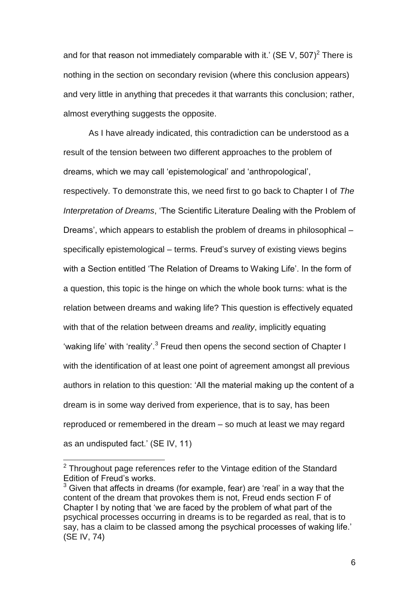and for that reason not immediately comparable with it.' (SE V, 507)<sup>2</sup> There is nothing in the section on secondary revision (where this conclusion appears) and very little in anything that precedes it that warrants this conclusion; rather, almost everything suggests the opposite.

As I have already indicated, this contradiction can be understood as a result of the tension between two different approaches to the problem of dreams, which we may call 'epistemological' and 'anthropological', respectively. To demonstrate this, we need first to go back to Chapter I of *The Interpretation of Dreams*, 'The Scientific Literature Dealing with the Problem of Dreams', which appears to establish the problem of dreams in philosophical – specifically epistemological – terms. Freud's survey of existing views begins with a Section entitled 'The Relation of Dreams to Waking Life'. In the form of a question, this topic is the hinge on which the whole book turns: what is the relation between dreams and waking life? This question is effectively equated with that of the relation between dreams and *reality*, implicitly equating 'waking life' with 'reality'.<sup>3</sup> Freud then opens the second section of Chapter I with the identification of at least one point of agreement amongst all previous authors in relation to this question: 'All the material making up the content of a dream is in some way derived from experience, that is to say, has been reproduced or remembered in the dream – so much at least we may regard as an undisputed fact.' (SE IV, 11)

l

 $2$  Throughout page references refer to the Vintage edition of the Standard Edition of Freud's works.

 $3$  Given that affects in dreams (for example, fear) are 'real' in a way that the content of the dream that provokes them is not, Freud ends section F of Chapter I by noting that 'we are faced by the problem of what part of the psychical processes occurring in dreams is to be regarded as real, that is to say, has a claim to be classed among the psychical processes of waking life.' (SE IV, 74)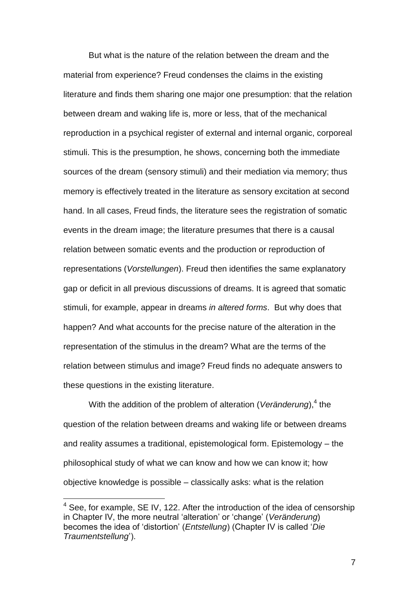But what is the nature of the relation between the dream and the material from experience? Freud condenses the claims in the existing literature and finds them sharing one major one presumption: that the relation between dream and waking life is, more or less, that of the mechanical reproduction in a psychical register of external and internal organic, corporeal stimuli. This is the presumption, he shows, concerning both the immediate sources of the dream (sensory stimuli) and their mediation via memory; thus memory is effectively treated in the literature as sensory excitation at second hand. In all cases, Freud finds, the literature sees the registration of somatic events in the dream image; the literature presumes that there is a causal relation between somatic events and the production or reproduction of representations (*Vorstellungen*). Freud then identifies the same explanatory gap or deficit in all previous discussions of dreams. It is agreed that somatic stimuli, for example, appear in dreams *in altered forms*. But why does that happen? And what accounts for the precise nature of the alteration in the representation of the stimulus in the dream? What are the terms of the relation between stimulus and image? Freud finds no adequate answers to these questions in the existing literature.

With the addition of the problem of alteration (*Veränderung*),<sup>4</sup> the question of the relation between dreams and waking life or between dreams and reality assumes a traditional, epistemological form. Epistemology – the philosophical study of what we can know and how we can know it; how objective knowledge is possible – classically asks: what is the relation

 $\overline{a}$ 

 $4$  See, for example, SE IV, 122. After the introduction of the idea of censorship in Chapter IV, the more neutral 'alteration' or 'change' (*Veränderung*) becomes the idea of 'distortion' (*Entstellung*) (Chapter IV is called '*Die Traumentstellung*').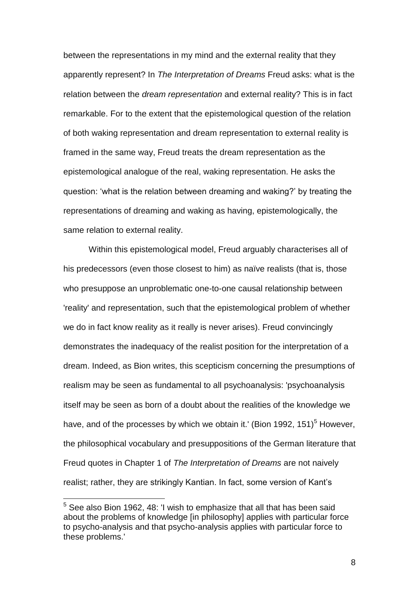between the representations in my mind and the external reality that they apparently represent? In *The Interpretation of Dreams* Freud asks: what is the relation between the *dream representation* and external reality? This is in fact remarkable. For to the extent that the epistemological question of the relation of both waking representation and dream representation to external reality is framed in the same way, Freud treats the dream representation as the epistemological analogue of the real, waking representation. He asks the question: 'what is the relation between dreaming and waking?' by treating the representations of dreaming and waking as having, epistemologically, the same relation to external reality.

Within this epistemological model, Freud arguably characterises all of his predecessors (even those closest to him) as naïve realists (that is, those who presuppose an unproblematic one-to-one causal relationship between 'reality' and representation, such that the epistemological problem of whether we do in fact know reality as it really is never arises). Freud convincingly demonstrates the inadequacy of the realist position for the interpretation of a dream. Indeed, as Bion writes, this scepticism concerning the presumptions of realism may be seen as fundamental to all psychoanalysis: 'psychoanalysis itself may be seen as born of a doubt about the realities of the knowledge we have, and of the processes by which we obtain it.' (Bion 1992, 151)<sup>5</sup> However. the philosophical vocabulary and presuppositions of the German literature that Freud quotes in Chapter 1 of *The Interpretation of Dreams* are not naively realist; rather, they are strikingly Kantian. In fact, some version of Kant's

 $\overline{a}$ 

<sup>5</sup> See also Bion 1962, 48: 'I wish to emphasize that all that has been said about the problems of knowledge [in philosophy] applies with particular force to psycho-analysis and that psycho-analysis applies with particular force to these problems.'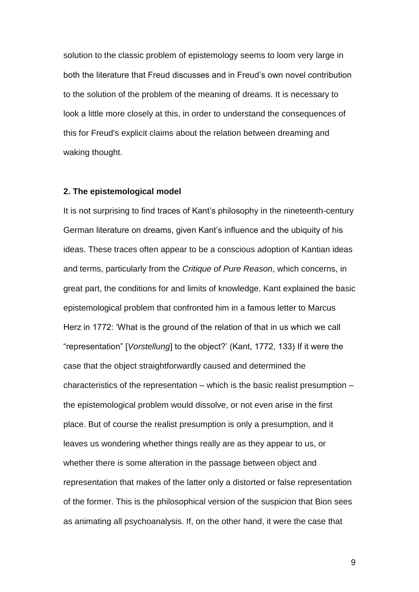solution to the classic problem of epistemology seems to loom very large in both the literature that Freud discusses and in Freud's own novel contribution to the solution of the problem of the meaning of dreams. It is necessary to look a little more closely at this, in order to understand the consequences of this for Freud's explicit claims about the relation between dreaming and waking thought.

#### **2. The epistemological model**

It is not surprising to find traces of Kant's philosophy in the nineteenth-century German literature on dreams, given Kant's influence and the ubiquity of his ideas. These traces often appear to be a conscious adoption of Kantian ideas and terms, particularly from the *Critique of Pure Reason*, which concerns, in great part, the conditions for and limits of knowledge. Kant explained the basic epistemological problem that confronted him in a famous letter to Marcus Herz in 1772: 'What is the ground of the relation of that in us which we call "representation" [*Vorstellung*] to the object?' (Kant, 1772, 133) If it were the case that the object straightforwardly caused and determined the characteristics of the representation – which is the basic realist presumption – the epistemological problem would dissolve, or not even arise in the first place. But of course the realist presumption is only a presumption, and it leaves us wondering whether things really are as they appear to us, or whether there is some alteration in the passage between object and representation that makes of the latter only a distorted or false representation of the former. This is the philosophical version of the suspicion that Bion sees as animating all psychoanalysis. If, on the other hand, it were the case that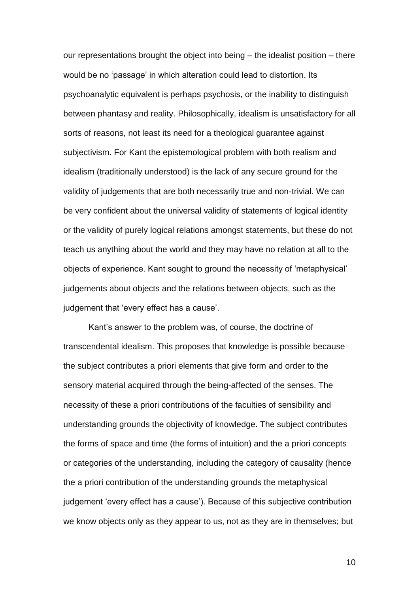our representations brought the object into being – the idealist position – there would be no 'passage' in which alteration could lead to distortion. Its psychoanalytic equivalent is perhaps psychosis, or the inability to distinguish between phantasy and reality. Philosophically, idealism is unsatisfactory for all sorts of reasons, not least its need for a theological guarantee against subjectivism. For Kant the epistemological problem with both realism and idealism (traditionally understood) is the lack of any secure ground for the validity of judgements that are both necessarily true and non-trivial. We can be very confident about the universal validity of statements of logical identity or the validity of purely logical relations amongst statements, but these do not teach us anything about the world and they may have no relation at all to the objects of experience. Kant sought to ground the necessity of 'metaphysical' judgements about objects and the relations between objects, such as the judgement that 'every effect has a cause'.

Kant's answer to the problem was, of course, the doctrine of transcendental idealism. This proposes that knowledge is possible because the subject contributes a priori elements that give form and order to the sensory material acquired through the being-affected of the senses. The necessity of these a priori contributions of the faculties of sensibility and understanding grounds the objectivity of knowledge. The subject contributes the forms of space and time (the forms of intuition) and the a priori concepts or categories of the understanding, including the category of causality (hence the a priori contribution of the understanding grounds the metaphysical judgement 'every effect has a cause'). Because of this subjective contribution we know objects only as they appear to us, not as they are in themselves; but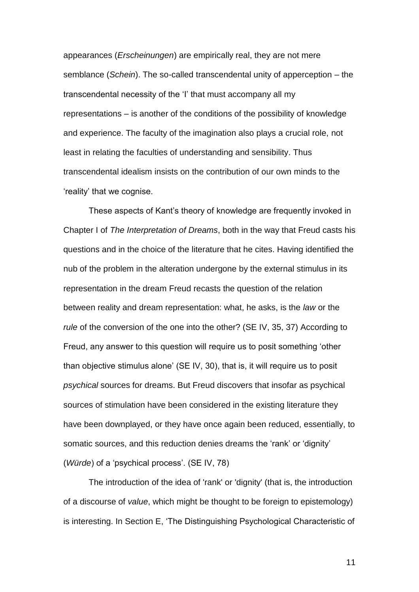appearances (*Erscheinungen*) are empirically real, they are not mere semblance (*Schein*). The so-called transcendental unity of apperception – the transcendental necessity of the 'I' that must accompany all my representations – is another of the conditions of the possibility of knowledge and experience. The faculty of the imagination also plays a crucial role, not least in relating the faculties of understanding and sensibility. Thus transcendental idealism insists on the contribution of our own minds to the 'reality' that we cognise.

These aspects of Kant's theory of knowledge are frequently invoked in Chapter I of *The Interpretation of Dreams*, both in the way that Freud casts his questions and in the choice of the literature that he cites. Having identified the nub of the problem in the alteration undergone by the external stimulus in its representation in the dream Freud recasts the question of the relation between reality and dream representation: what, he asks, is the *law* or the *rule* of the conversion of the one into the other? (SE IV, 35, 37) According to Freud, any answer to this question will require us to posit something 'other than objective stimulus alone' (SE IV, 30), that is, it will require us to posit *psychical* sources for dreams. But Freud discovers that insofar as psychical sources of stimulation have been considered in the existing literature they have been downplayed, or they have once again been reduced, essentially, to somatic sources, and this reduction denies dreams the 'rank' or 'dignity' (*Würde*) of a 'psychical process'. (SE IV, 78)

The introduction of the idea of 'rank' or 'dignity' (that is, the introduction of a discourse of *value*, which might be thought to be foreign to epistemology) is interesting. In Section E, 'The Distinguishing Psychological Characteristic of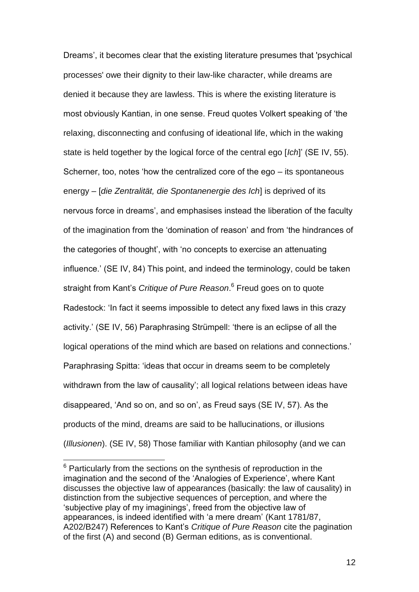Dreams', it becomes clear that the existing literature presumes that 'psychical processes' owe their dignity to their law-like character, while dreams are denied it because they are lawless. This is where the existing literature is most obviously Kantian, in one sense. Freud quotes Volkert speaking of 'the relaxing, disconnecting and confusing of ideational life, which in the waking state is held together by the logical force of the central ego [*Ich*]' (SE IV, 55). Scherner, too, notes 'how the centralized core of the ego – its spontaneous energy – [*die Zentralität, die Spontanenergie des Ich*] is deprived of its nervous force in dreams', and emphasises instead the liberation of the faculty of the imagination from the 'domination of reason' and from 'the hindrances of the categories of thought', with 'no concepts to exercise an attenuating influence.' (SE IV, 84) This point, and indeed the terminology, could be taken straight from Kant's *Critique of Pure Reason*. 6 Freud goes on to quote Radestock: 'In fact it seems impossible to detect any fixed laws in this crazy activity.' (SE IV, 56) Paraphrasing Strümpell: 'there is an eclipse of all the logical operations of the mind which are based on relations and connections.' Paraphrasing Spitta: 'ideas that occur in dreams seem to be completely withdrawn from the law of causality'; all logical relations between ideas have disappeared, 'And so on, and so on', as Freud says (SE IV, 57). As the products of the mind, dreams are said to be hallucinations, or illusions (*Illusionen*). (SE IV, 58) Those familiar with Kantian philosophy (and we can

l

 $6$  Particularly from the sections on the synthesis of reproduction in the imagination and the second of the 'Analogies of Experience', where Kant discusses the objective law of appearances (basically: the law of causality) in distinction from the subjective sequences of perception, and where the 'subjective play of my imaginings', freed from the objective law of appearances, is indeed identified with 'a mere dream' (Kant 1781/87, A202/B247) References to Kant's *Critique of Pure Reason* cite the pagination of the first (A) and second (B) German editions, as is conventional.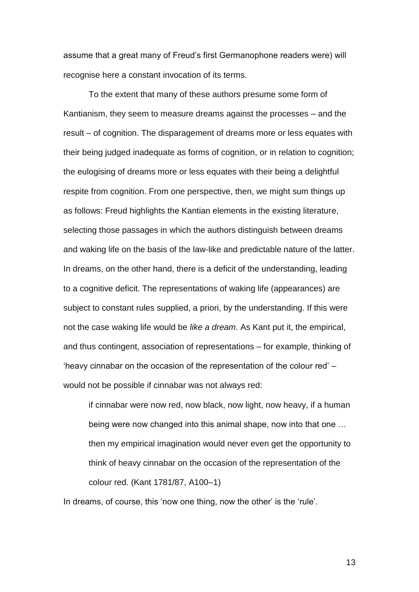assume that a great many of Freud's first Germanophone readers were) will recognise here a constant invocation of its terms.

To the extent that many of these authors presume some form of Kantianism, they seem to measure dreams against the processes – and the result – of cognition. The disparagement of dreams more or less equates with their being judged inadequate as forms of cognition, or in relation to cognition; the eulogising of dreams more or less equates with their being a delightful respite from cognition. From one perspective, then, we might sum things up as follows: Freud highlights the Kantian elements in the existing literature, selecting those passages in which the authors distinguish between dreams and waking life on the basis of the law-like and predictable nature of the latter. In dreams, on the other hand, there is a deficit of the understanding, leading to a cognitive deficit. The representations of waking life (appearances) are subject to constant rules supplied, a priori, by the understanding. If this were not the case waking life would be *like a dream*. As Kant put it, the empirical, and thus contingent, association of representations – for example, thinking of 'heavy cinnabar on the occasion of the representation of the colour red' – would not be possible if cinnabar was not always red:

if cinnabar were now red, now black, now light, now heavy, if a human being were now changed into this animal shape, now into that one … then my empirical imagination would never even get the opportunity to think of heavy cinnabar on the occasion of the representation of the colour red. (Kant 1781/87, A100–1)

In dreams, of course, this 'now one thing, now the other' is the 'rule'.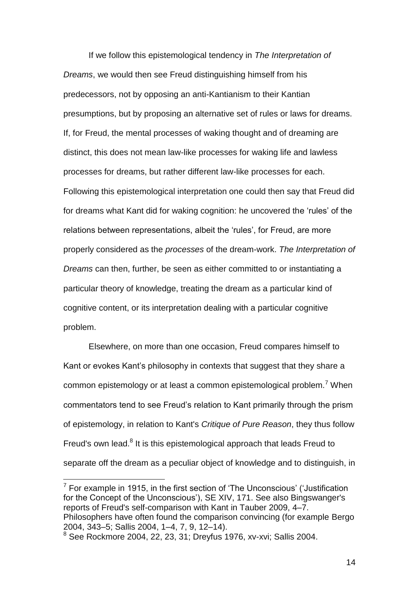If we follow this epistemological tendency in *The Interpretation of Dreams*, we would then see Freud distinguishing himself from his predecessors, not by opposing an anti-Kantianism to their Kantian presumptions, but by proposing an alternative set of rules or laws for dreams. If, for Freud, the mental processes of waking thought and of dreaming are distinct, this does not mean law-like processes for waking life and lawless processes for dreams, but rather different law-like processes for each. Following this epistemological interpretation one could then say that Freud did for dreams what Kant did for waking cognition: he uncovered the 'rules' of the relations between representations, albeit the 'rules', for Freud, are more properly considered as the *processes* of the dream-work. *The Interpretation of Dreams* can then, further, be seen as either committed to or instantiating a particular theory of knowledge, treating the dream as a particular kind of cognitive content, or its interpretation dealing with a particular cognitive problem.

Elsewhere, on more than one occasion, Freud compares himself to Kant or evokes Kant's philosophy in contexts that suggest that they share a common epistemology or at least a common epistemological problem.<sup>7</sup> When commentators tend to see Freud's relation to Kant primarily through the prism of epistemology, in relation to Kant's *Critique of Pure Reason*, they thus follow Freud's own lead.<sup>8</sup> It is this epistemological approach that leads Freud to separate off the dream as a peculiar object of knowledge and to distinguish, in

 7 For example in 1915, in the first section of 'The Unconscious' ('Justification for the Concept of the Unconscious'), SE XIV, 171. See also Bingswanger's reports of Freud's self-comparison with Kant in Tauber 2009, 4–7. Philosophers have often found the comparison convincing (for example Bergo 2004, 343–5; Sallis 2004, 1–4, 7, 9, 12–14).

 $8$  See Rockmore 2004, 22, 23, 31; Dreyfus 1976, xv-xvi; Sallis 2004.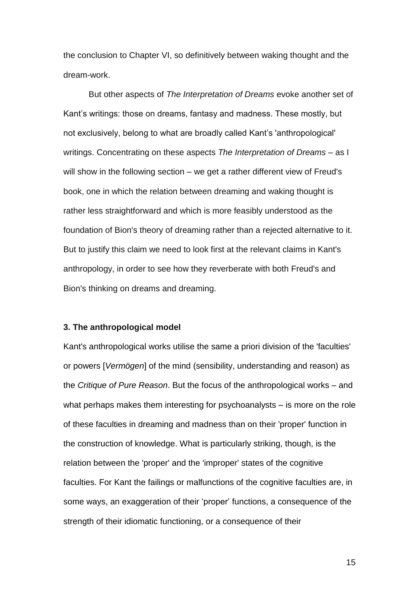the conclusion to Chapter VI, so definitively between waking thought and the dream-work.

But other aspects of *The Interpretation of Dreams* evoke another set of Kant's writings: those on dreams, fantasy and madness. These mostly, but not exclusively, belong to what are broadly called Kant's 'anthropological' writings. Concentrating on these aspects *The Interpretation of Dreams* – as I will show in the following section – we get a rather different view of Freud's book, one in which the relation between dreaming and waking thought is rather less straightforward and which is more feasibly understood as the foundation of Bion's theory of dreaming rather than a rejected alternative to it. But to justify this claim we need to look first at the relevant claims in Kant's anthropology, in order to see how they reverberate with both Freud's and Bion's thinking on dreams and dreaming.

## **3. The anthropological model**

Kant's anthropological works utilise the same a priori division of the 'faculties' or powers [*Vermögen*] of the mind (sensibility, understanding and reason) as the *Critique of Pure Reason*. But the focus of the anthropological works – and what perhaps makes them interesting for psychoanalysts – is more on the role of these faculties in dreaming and madness than on their 'proper' function in the construction of knowledge. What is particularly striking, though, is the relation between the 'proper' and the 'improper' states of the cognitive faculties. For Kant the failings or malfunctions of the cognitive faculties are, in some ways, an exaggeration of their 'proper' functions, a consequence of the strength of their idiomatic functioning, or a consequence of their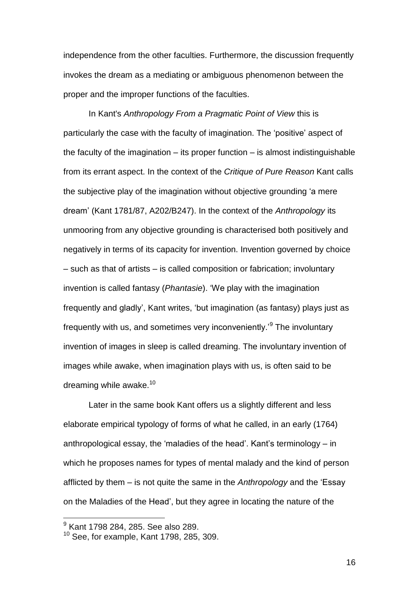independence from the other faculties. Furthermore, the discussion frequently invokes the dream as a mediating or ambiguous phenomenon between the proper and the improper functions of the faculties.

In Kant's *Anthropology From a Pragmatic Point of View* this is particularly the case with the faculty of imagination. The 'positive' aspect of the faculty of the imagination  $-$  its proper function  $-$  is almost indistinguishable from its errant aspect. In the context of the *Critique of Pure Reason* Kant calls the subjective play of the imagination without objective grounding 'a mere dream' (Kant 1781/87, A202/B247). In the context of the *Anthropology* its unmooring from any objective grounding is characterised both positively and negatively in terms of its capacity for invention. Invention governed by choice – such as that of artists – is called composition or fabrication; involuntary invention is called fantasy (*Phantasie*). 'We play with the imagination frequently and gladly', Kant writes, 'but imagination (as fantasy) plays just as frequently with us, and sometimes very inconveniently.'<sup>9</sup> The involuntary invention of images in sleep is called dreaming. The involuntary invention of images while awake, when imagination plays with us, is often said to be dreaming while awake. $10$ 

Later in the same book Kant offers us a slightly different and less elaborate empirical typology of forms of what he called, in an early (1764) anthropological essay, the 'maladies of the head'. Kant's terminology – in which he proposes names for types of mental malady and the kind of person afflicted by them – is not quite the same in the *Anthropology* and the 'Essay on the Maladies of the Head', but they agree in locating the nature of the

l

 $^9$  Kant 1798 284, 285. See also 289.

 $10$  See, for example, Kant 1798, 285, 309.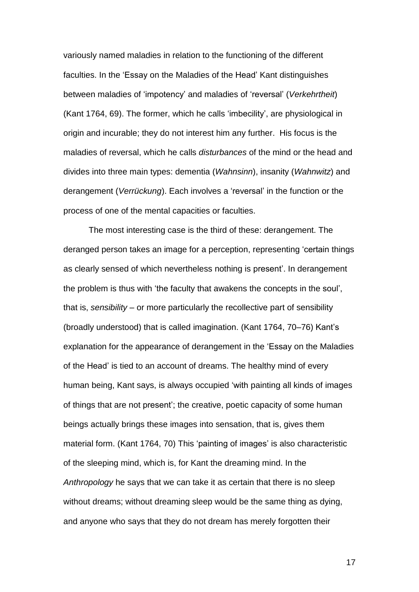variously named maladies in relation to the functioning of the different faculties. In the 'Essay on the Maladies of the Head' Kant distinguishes between maladies of 'impotency' and maladies of 'reversal' (*Verkehrtheit*) (Kant 1764, 69). The former, which he calls 'imbecility', are physiological in origin and incurable; they do not interest him any further. His focus is the maladies of reversal, which he calls *disturbances* of the mind or the head and divides into three main types: dementia (*Wahnsinn*), insanity (*Wahnwitz*) and derangement (*Verrückung*). Each involves a 'reversal' in the function or the process of one of the mental capacities or faculties.

The most interesting case is the third of these: derangement. The deranged person takes an image for a perception, representing 'certain things as clearly sensed of which nevertheless nothing is present'. In derangement the problem is thus with 'the faculty that awakens the concepts in the soul', that is, *sensibility* – or more particularly the recollective part of sensibility (broadly understood) that is called imagination. (Kant 1764, 70–76) Kant's explanation for the appearance of derangement in the 'Essay on the Maladies of the Head' is tied to an account of dreams. The healthy mind of every human being, Kant says, is always occupied 'with painting all kinds of images of things that are not present'; the creative, poetic capacity of some human beings actually brings these images into sensation, that is, gives them material form. (Kant 1764, 70) This 'painting of images' is also characteristic of the sleeping mind, which is, for Kant the dreaming mind. In the *Anthropology* he says that we can take it as certain that there is no sleep without dreams; without dreaming sleep would be the same thing as dying, and anyone who says that they do not dream has merely forgotten their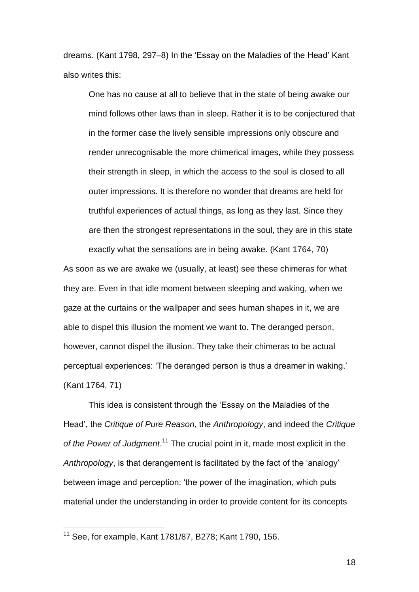dreams. (Kant 1798, 297–8) In the 'Essay on the Maladies of the Head' Kant also writes this:

One has no cause at all to believe that in the state of being awake our mind follows other laws than in sleep. Rather it is to be conjectured that in the former case the lively sensible impressions only obscure and render unrecognisable the more chimerical images, while they possess their strength in sleep, in which the access to the soul is closed to all outer impressions. It is therefore no wonder that dreams are held for truthful experiences of actual things, as long as they last. Since they are then the strongest representations in the soul, they are in this state exactly what the sensations are in being awake. (Kant 1764, 70)

As soon as we are awake we (usually, at least) see these chimeras for what they are. Even in that idle moment between sleeping and waking, when we gaze at the curtains or the wallpaper and sees human shapes in it, we are able to dispel this illusion the moment we want to. The deranged person, however, cannot dispel the illusion. They take their chimeras to be actual perceptual experiences: 'The deranged person is thus a dreamer in waking.' (Kant 1764, 71)

This idea is consistent through the 'Essay on the Maladies of the Head', the *Critique of Pure Reason*, the *Anthropology*, and indeed the *Critique of the Power of Judgment*. <sup>11</sup> The crucial point in it, made most explicit in the *Anthropology*, is that derangement is facilitated by the fact of the 'analogy' between image and perception: 'the power of the imagination, which puts material under the understanding in order to provide content for its concepts

l

<sup>11</sup> See, for example, Kant 1781/87, B278; Kant 1790, 156.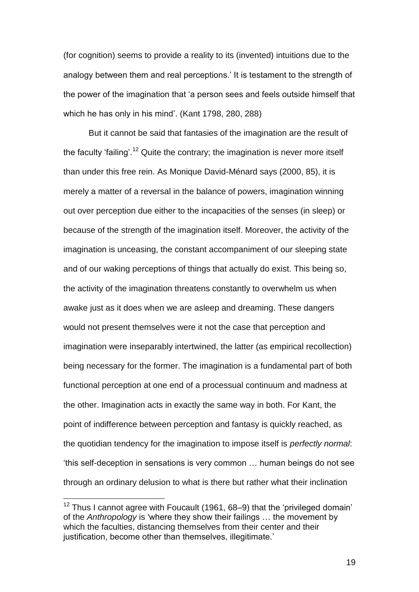(for cognition) seems to provide a reality to its (invented) intuitions due to the analogy between them and real perceptions.' It is testament to the strength of the power of the imagination that 'a person sees and feels outside himself that which he has only in his mind'. (Kant 1798, 280, 288)

But it cannot be said that fantasies of the imagination are the result of the faculty 'failing'.<sup>12</sup> Quite the contrary; the imagination is never more itself than under this free rein. As Monique David-Ménard says (2000, 85), it is merely a matter of a reversal in the balance of powers, imagination winning out over perception due either to the incapacities of the senses (in sleep) or because of the strength of the imagination itself. Moreover, the activity of the imagination is unceasing, the constant accompaniment of our sleeping state and of our waking perceptions of things that actually do exist. This being so, the activity of the imagination threatens constantly to overwhelm us when awake just as it does when we are asleep and dreaming. These dangers would not present themselves were it not the case that perception and imagination were inseparably intertwined, the latter (as empirical recollection) being necessary for the former. The imagination is a fundamental part of both functional perception at one end of a processual continuum and madness at the other. Imagination acts in exactly the same way in both. For Kant, the point of indifference between perception and fantasy is quickly reached, as the quotidian tendency for the imagination to impose itself is *perfectly normal*: 'this self-deception in sensations is very common … human beings do not see through an ordinary delusion to what is there but rather what their inclination

 $\overline{a}$ 

 $12$  Thus I cannot agree with Foucault (1961, 68–9) that the 'privileged domain' of the *Anthropology* is 'where they show their failings … the movement by which the faculties, distancing themselves from their center and their justification, become other than themselves, illegitimate.'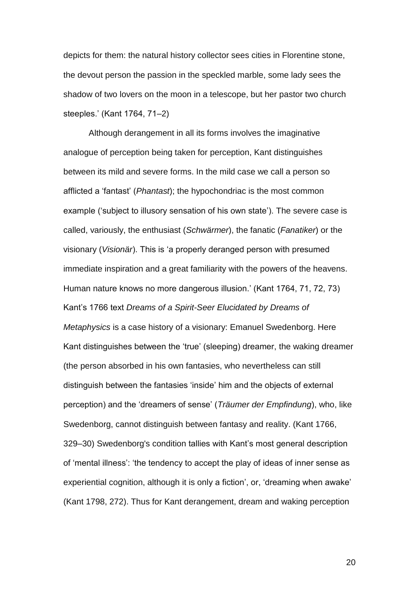depicts for them: the natural history collector sees cities in Florentine stone, the devout person the passion in the speckled marble, some lady sees the shadow of two lovers on the moon in a telescope, but her pastor two church steeples.' (Kant 1764, 71–2)

Although derangement in all its forms involves the imaginative analogue of perception being taken for perception, Kant distinguishes between its mild and severe forms. In the mild case we call a person so afflicted a 'fantast' (*Phantast*); the hypochondriac is the most common example ('subject to illusory sensation of his own state'). The severe case is called, variously, the enthusiast (*Schwärmer*), the fanatic (*Fanatiker*) or the visionary (*Visionär*). This is 'a properly deranged person with presumed immediate inspiration and a great familiarity with the powers of the heavens. Human nature knows no more dangerous illusion.' (Kant 1764, 71, 72, 73) Kant's 1766 text *Dreams of a Spirit-Seer Elucidated by Dreams of Metaphysics* is a case history of a visionary: Emanuel Swedenborg. Here Kant distinguishes between the 'true' (sleeping) dreamer, the waking dreamer (the person absorbed in his own fantasies, who nevertheless can still distinguish between the fantasies 'inside' him and the objects of external perception) and the 'dreamers of sense' (*Träumer der Empfindung*), who, like Swedenborg, cannot distinguish between fantasy and reality. (Kant 1766, 329–30) Swedenborg's condition tallies with Kant's most general description of 'mental illness': 'the tendency to accept the play of ideas of inner sense as experiential cognition, although it is only a fiction', or, 'dreaming when awake' (Kant 1798, 272). Thus for Kant derangement, dream and waking perception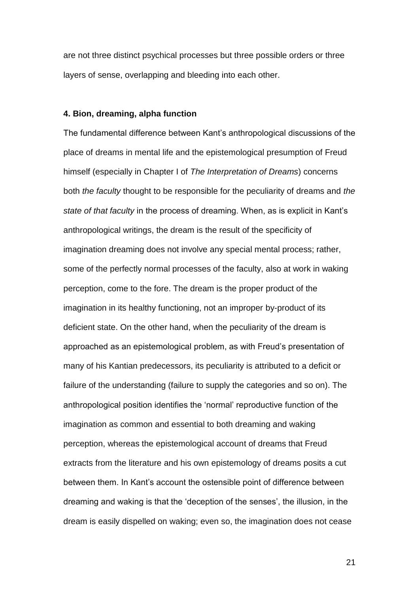are not three distinct psychical processes but three possible orders or three layers of sense, overlapping and bleeding into each other.

## **4. Bion, dreaming, alpha function**

The fundamental difference between Kant's anthropological discussions of the place of dreams in mental life and the epistemological presumption of Freud himself (especially in Chapter I of *The Interpretation of Dreams*) concerns both *the faculty* thought to be responsible for the peculiarity of dreams and *the state of that faculty* in the process of dreaming. When, as is explicit in Kant's anthropological writings, the dream is the result of the specificity of imagination dreaming does not involve any special mental process; rather, some of the perfectly normal processes of the faculty, also at work in waking perception, come to the fore. The dream is the proper product of the imagination in its healthy functioning, not an improper by-product of its deficient state. On the other hand, when the peculiarity of the dream is approached as an epistemological problem, as with Freud's presentation of many of his Kantian predecessors, its peculiarity is attributed to a deficit or failure of the understanding (failure to supply the categories and so on). The anthropological position identifies the 'normal' reproductive function of the imagination as common and essential to both dreaming and waking perception, whereas the epistemological account of dreams that Freud extracts from the literature and his own epistemology of dreams posits a cut between them. In Kant's account the ostensible point of difference between dreaming and waking is that the 'deception of the senses', the illusion, in the dream is easily dispelled on waking; even so, the imagination does not cease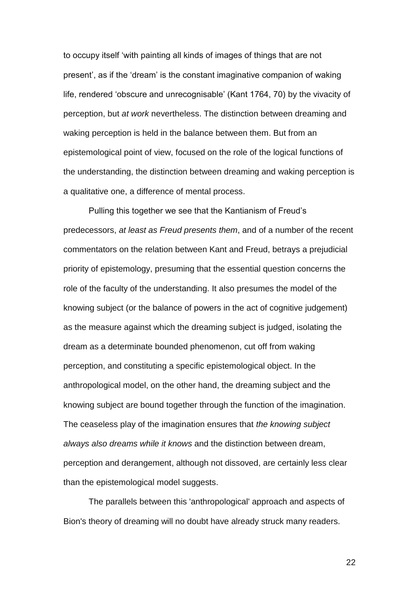to occupy itself 'with painting all kinds of images of things that are not present', as if the 'dream' is the constant imaginative companion of waking life, rendered 'obscure and unrecognisable' (Kant 1764, 70) by the vivacity of perception, but *at work* nevertheless. The distinction between dreaming and waking perception is held in the balance between them. But from an epistemological point of view, focused on the role of the logical functions of the understanding, the distinction between dreaming and waking perception is a qualitative one, a difference of mental process.

Pulling this together we see that the Kantianism of Freud's predecessors, *at least as Freud presents them*, and of a number of the recent commentators on the relation between Kant and Freud, betrays a prejudicial priority of epistemology, presuming that the essential question concerns the role of the faculty of the understanding. It also presumes the model of the knowing subject (or the balance of powers in the act of cognitive judgement) as the measure against which the dreaming subject is judged, isolating the dream as a determinate bounded phenomenon, cut off from waking perception, and constituting a specific epistemological object. In the anthropological model, on the other hand, the dreaming subject and the knowing subject are bound together through the function of the imagination. The ceaseless play of the imagination ensures that *the knowing subject always also dreams while it knows* and the distinction between dream, perception and derangement, although not dissoved, are certainly less clear than the epistemological model suggests.

The parallels between this 'anthropological' approach and aspects of Bion's theory of dreaming will no doubt have already struck many readers.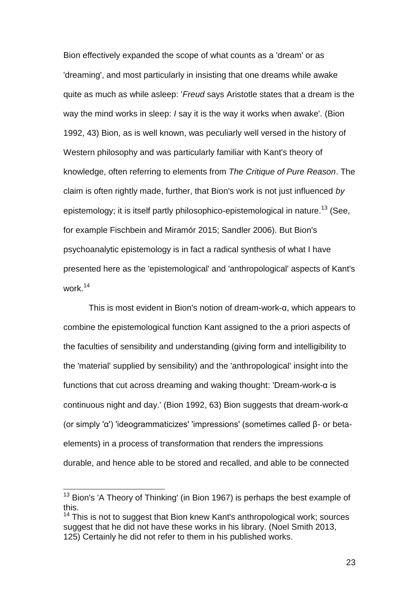Bion effectively expanded the scope of what counts as a 'dream' or as 'dreaming', and most particularly in insisting that one dreams while awake quite as much as while asleep: '*Freud* says Aristotle states that a dream is the way the mind works in sleep: *I* say it is the way it works when awake'. (Bion 1992, 43) Bion, as is well known, was peculiarly well versed in the history of Western philosophy and was particularly familiar with Kant's theory of knowledge, often referring to elements from *The Critique of Pure Reason*. The claim is often rightly made, further, that Bion's work is not just influenced *by* epistemology; it is itself partly philosophico-epistemological in nature.<sup>13</sup> (See, for example Fischbein and Miramór 2015; Sandler 2006). But Bion's psychoanalytic epistemology is in fact a radical synthesis of what I have presented here as the 'epistemological' and 'anthropological' aspects of Kant's work.<sup>14</sup>

This is most evident in Bion's notion of dream-work-α, which appears to combine the epistemological function Kant assigned to the a priori aspects of the faculties of sensibility and understanding (giving form and intelligibility to the 'material' supplied by sensibility) and the 'anthropological' insight into the functions that cut across dreaming and waking thought: 'Dream-work-α is continuous night and day.' (Bion 1992, 63) Bion suggests that dream-work-α (or simply 'α') 'ideogrammaticizes' 'impressions' (sometimes called β- or betaelements) in a process of transformation that renders the impressions durable, and hence able to be stored and recalled, and able to be connected

 $\overline{a}$ 

 $13$  Bion's 'A Theory of Thinking' (in Bion 1967) is perhaps the best example of this.

<sup>&</sup>lt;sup>14</sup> This is not to suggest that Bion knew Kant's anthropological work; sources suggest that he did not have these works in his library. (Noel Smith 2013, 125) Certainly he did not refer to them in his published works.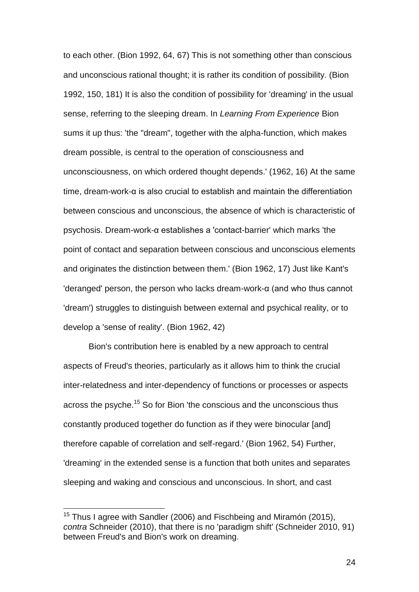to each other. (Bion 1992, 64, 67) This is not something other than conscious and unconscious rational thought; it is rather its condition of possibility. (Bion 1992, 150, 181) It is also the condition of possibility for 'dreaming' in the usual sense, referring to the sleeping dream. In *Learning From Experience* Bion sums it up thus: 'the "dream", together with the alpha-function, which makes dream possible, is central to the operation of consciousness and unconsciousness, on which ordered thought depends.' (1962, 16) At the same time, dream-work-α is also crucial to establish and maintain the differentiation between conscious and unconscious, the absence of which is characteristic of psychosis. Dream-work-α establishes a 'contact-barrier' which marks 'the point of contact and separation between conscious and unconscious elements and originates the distinction between them.' (Bion 1962, 17) Just like Kant's 'deranged' person, the person who lacks dream-work-α (and who thus cannot 'dream') struggles to distinguish between external and psychical reality, or to develop a 'sense of reality'. (Bion 1962, 42)

Bion's contribution here is enabled by a new approach to central aspects of Freud's theories, particularly as it allows him to think the crucial inter-relatedness and inter-dependency of functions or processes or aspects across the psyche.<sup>15</sup> So for Bion 'the conscious and the unconscious thus constantly produced together do function as if they were binocular [and] therefore capable of correlation and self-regard.' (Bion 1962, 54) Further, 'dreaming' in the extended sense is a function that both unites and separates sleeping and waking and conscious and unconscious. In short, and cast

l

 $15$  Thus I agree with Sandler (2006) and Fischbeing and Miramón (2015), *contra* Schneider (2010), that there is no 'paradigm shift' (Schneider 2010, 91) between Freud's and Bion's work on dreaming.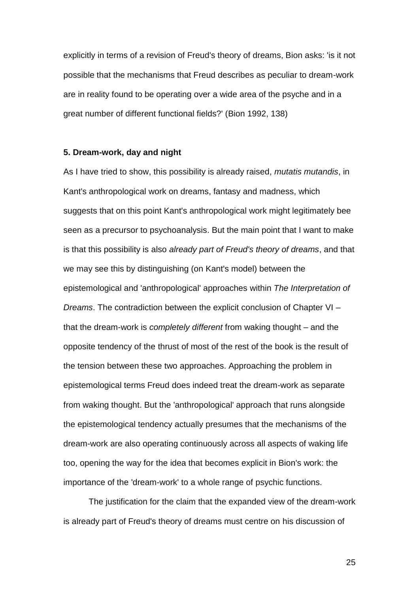explicitly in terms of a revision of Freud's theory of dreams, Bion asks: 'is it not possible that the mechanisms that Freud describes as peculiar to dream-work are in reality found to be operating over a wide area of the psyche and in a great number of different functional fields?' (Bion 1992, 138)

## **5. Dream-work, day and night**

As I have tried to show, this possibility is already raised, *mutatis mutandis*, in Kant's anthropological work on dreams, fantasy and madness, which suggests that on this point Kant's anthropological work might legitimately bee seen as a precursor to psychoanalysis. But the main point that I want to make is that this possibility is also *already part of Freud's theory of dreams*, and that we may see this by distinguishing (on Kant's model) between the epistemological and 'anthropological' approaches within *The Interpretation of Dreams*. The contradiction between the explicit conclusion of Chapter VI – that the dream-work is *completely different* from waking thought – and the opposite tendency of the thrust of most of the rest of the book is the result of the tension between these two approaches. Approaching the problem in epistemological terms Freud does indeed treat the dream-work as separate from waking thought. But the 'anthropological' approach that runs alongside the epistemological tendency actually presumes that the mechanisms of the dream-work are also operating continuously across all aspects of waking life too, opening the way for the idea that becomes explicit in Bion's work: the importance of the 'dream-work' to a whole range of psychic functions.

The justification for the claim that the expanded view of the dream-work is already part of Freud's theory of dreams must centre on his discussion of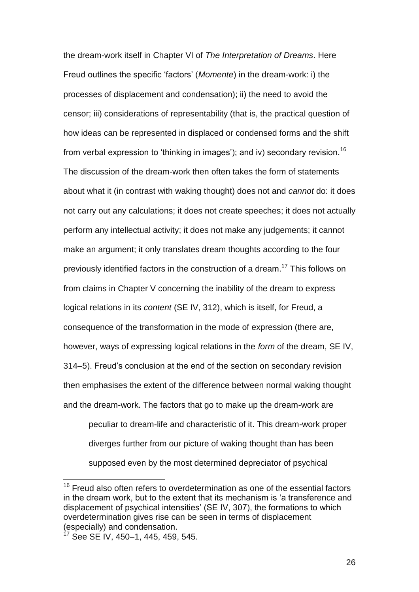the dream-work itself in Chapter VI of *The Interpretation of Dreams*. Here Freud outlines the specific 'factors' (*Momente*) in the dream-work: i) the processes of displacement and condensation); ii) the need to avoid the censor; iii) considerations of representability (that is, the practical question of how ideas can be represented in displaced or condensed forms and the shift from verbal expression to 'thinking in images'); and iv) secondary revision.<sup>16</sup> The discussion of the dream-work then often takes the form of statements about what it (in contrast with waking thought) does not and *cannot* do: it does not carry out any calculations; it does not create speeches; it does not actually perform any intellectual activity; it does not make any judgements; it cannot make an argument; it only translates dream thoughts according to the four previously identified factors in the construction of a dream. <sup>17</sup> This follows on from claims in Chapter V concerning the inability of the dream to express logical relations in its *content* (SE IV, 312), which is itself, for Freud, a consequence of the transformation in the mode of expression (there are, however, ways of expressing logical relations in the *form* of the dream, SE IV, 314–5). Freud's conclusion at the end of the section on secondary revision then emphasises the extent of the difference between normal waking thought and the dream-work. The factors that go to make up the dream-work are

peculiar to dream-life and characteristic of it. This dream-work proper diverges further from our picture of waking thought than has been supposed even by the most determined depreciator of psychical

 $\overline{a}$ 

 $16$  Freud also often refers to overdetermination as one of the essential factors in the dream work, but to the extent that its mechanism is 'a transference and displacement of psychical intensities' (SE IV, 307), the formations to which overdetermination gives rise can be seen in terms of displacement (especially) and condensation.

 $17$  See SE IV, 450–1, 445, 459, 545.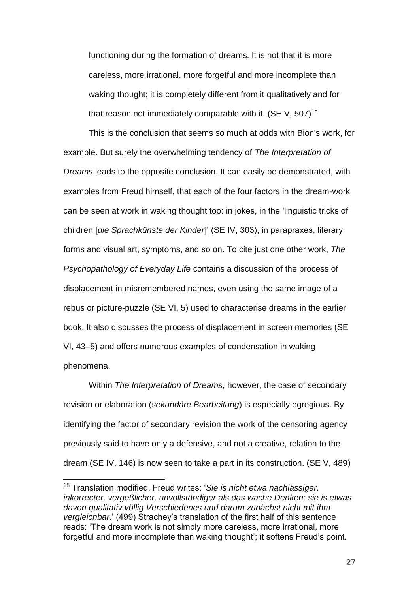functioning during the formation of dreams. It is not that it is more careless, more irrational, more forgetful and more incomplete than waking thought; it is completely different from it qualitatively and for that reason not immediately comparable with it. (SE V,  $507$ )<sup>18</sup>

This is the conclusion that seems so much at odds with Bion's work, for example. But surely the overwhelming tendency of *The Interpretation of Dreams* leads to the opposite conclusion. It can easily be demonstrated, with examples from Freud himself, that each of the four factors in the dream-work can be seen at work in waking thought too: in jokes, in the 'linguistic tricks of children [*die Sprachkünste der Kinder*]' (SE IV, 303), in parapraxes, literary forms and visual art, symptoms, and so on. To cite just one other work, *The Psychopathology of Everyday Life* contains a discussion of the process of displacement in misremembered names, even using the same image of a rebus or picture-puzzle (SE VI, 5) used to characterise dreams in the earlier book. It also discusses the process of displacement in screen memories (SE VI, 43–5) and offers numerous examples of condensation in waking phenomena.

Within *The Interpretation of Dreams*, however, the case of secondary revision or elaboration (*sekundäre Bearbeitung*) is especially egregious. By identifying the factor of secondary revision the work of the censoring agency previously said to have only a defensive, and not a creative, relation to the dream (SE IV, 146) is now seen to take a part in its construction. (SE V, 489)

 $\overline{a}$ 

<sup>18</sup> Translation modified. Freud writes: '*Sie is nicht etwa nachlässiger, inkorrecter, vergeßlicher, unvollständiger als das wache Denken; sie is etwas davon qualitativ völlig Verschiedenes und darum zunächst nicht mit ihm vergleichbar*.' (499) Strachey's translation of the first half of this sentence reads: 'The dream work is not simply more careless, more irrational, more forgetful and more incomplete than waking thought'; it softens Freud's point.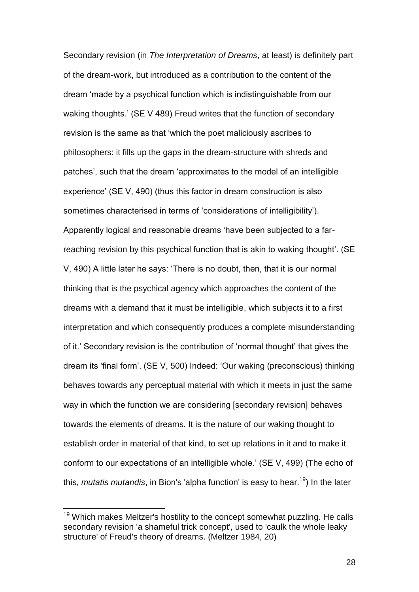Secondary revision (in *The Interpretation of Dreams*, at least) is definitely part of the dream-work, but introduced as a contribution to the content of the dream 'made by a psychical function which is indistinguishable from our waking thoughts.' (SE V 489) Freud writes that the function of secondary revision is the same as that 'which the poet maliciously ascribes to philosophers: it fills up the gaps in the dream-structure with shreds and patches', such that the dream 'approximates to the model of an intelligible experience' (SE V, 490) (thus this factor in dream construction is also sometimes characterised in terms of 'considerations of intelligibility'). Apparently logical and reasonable dreams 'have been subjected to a farreaching revision by this psychical function that is akin to waking thought'. (SE V, 490) A little later he says: 'There is no doubt, then, that it is our normal thinking that is the psychical agency which approaches the content of the dreams with a demand that it must be intelligible, which subjects it to a first interpretation and which consequently produces a complete misunderstanding of it.' Secondary revision is the contribution of 'normal thought' that gives the dream its 'final form'. (SE V, 500) Indeed: 'Our waking (preconscious) thinking behaves towards any perceptual material with which it meets in just the same way in which the function we are considering [secondary revision] behaves towards the elements of dreams. It is the nature of our waking thought to establish order in material of that kind, to set up relations in it and to make it conform to our expectations of an intelligible whole.' (SE V, 499) (The echo of this, *mutatis mutandis*, in Bion's 'alpha function' is easy to hear.<sup>19</sup>) In the later

l

 $19$  Which makes Meltzer's hostility to the concept somewhat puzzling. He calls secondary revision 'a shameful trick concept', used to 'caulk the whole leaky structure' of Freud's theory of dreams. (Meltzer 1984, 20)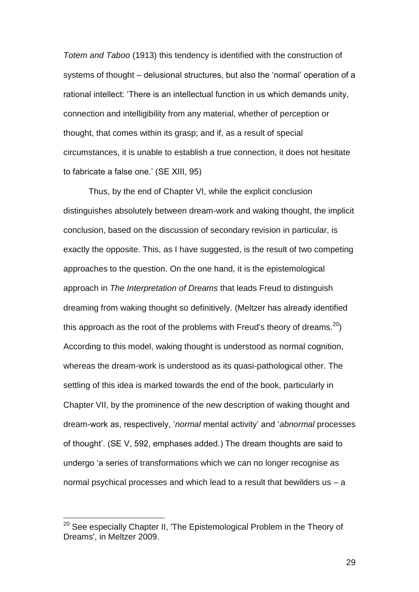*Totem and Taboo* (1913) this tendency is identified with the construction of systems of thought – delusional structures, but also the 'normal' operation of a rational intellect: 'There is an intellectual function in us which demands unity, connection and intelligibility from any material, whether of perception or thought, that comes within its grasp; and if, as a result of special circumstances, it is unable to establish a true connection, it does not hesitate to fabricate a false one.' (SE XIII, 95)

Thus, by the end of Chapter VI, while the explicit conclusion distinguishes absolutely between dream-work and waking thought, the implicit conclusion, based on the discussion of secondary revision in particular, is exactly the opposite. This, as I have suggested, is the result of two competing approaches to the question. On the one hand, it is the epistemological approach in *The Interpretation of Dreams* that leads Freud to distinguish dreaming from waking thought so definitively. (Meltzer has already identified this approach as the root of the problems with Freud's theory of dreams.<sup>20</sup>) According to this model, waking thought is understood as normal cognition, whereas the dream-work is understood as its quasi-pathological other. The settling of this idea is marked towards the end of the book, particularly in Chapter VII, by the prominence of the new description of waking thought and dream-work as, respectively, '*normal* mental activity' and '*abnormal* processes of thought'. (SE V, 592, emphases added.) The dream thoughts are said to undergo 'a series of transformations which we can no longer recognise as normal psychical processes and which lead to a result that bewilders us – a

l

 $^{20}$  See especially Chapter II, 'The Epistemological Problem in the Theory of Dreams', in Meltzer 2009.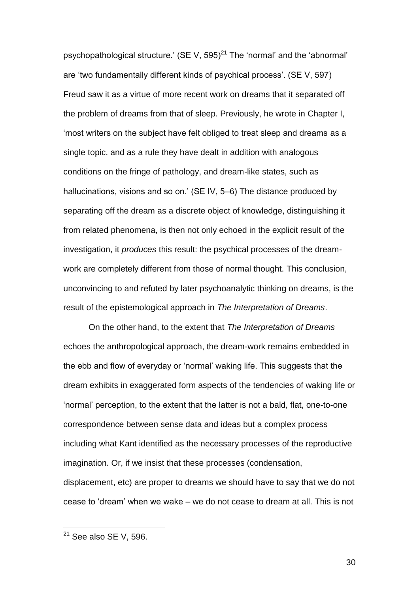psychopathological structure.' (SE V,  $595)^{21}$  The 'normal' and the 'abnormal' are 'two fundamentally different kinds of psychical process'. (SE V, 597) Freud saw it as a virtue of more recent work on dreams that it separated off the problem of dreams from that of sleep. Previously, he wrote in Chapter I, 'most writers on the subject have felt obliged to treat sleep and dreams as a single topic, and as a rule they have dealt in addition with analogous conditions on the fringe of pathology, and dream-like states, such as hallucinations, visions and so on.' (SE IV, 5–6) The distance produced by separating off the dream as a discrete object of knowledge, distinguishing it from related phenomena, is then not only echoed in the explicit result of the investigation, it *produces* this result: the psychical processes of the dreamwork are completely different from those of normal thought. This conclusion, unconvincing to and refuted by later psychoanalytic thinking on dreams, is the result of the epistemological approach in *The Interpretation of Dreams*.

On the other hand, to the extent that *The Interpretation of Dreams* echoes the anthropological approach, the dream-work remains embedded in the ebb and flow of everyday or 'normal' waking life. This suggests that the dream exhibits in exaggerated form aspects of the tendencies of waking life or 'normal' perception, to the extent that the latter is not a bald, flat, one-to-one correspondence between sense data and ideas but a complex process including what Kant identified as the necessary processes of the reproductive imagination. Or, if we insist that these processes (condensation, displacement, etc) are proper to dreams we should have to say that we do not cease to 'dream' when we wake – we do not cease to dream at all. This is not

l

 $^{21}$  See also SE V, 596.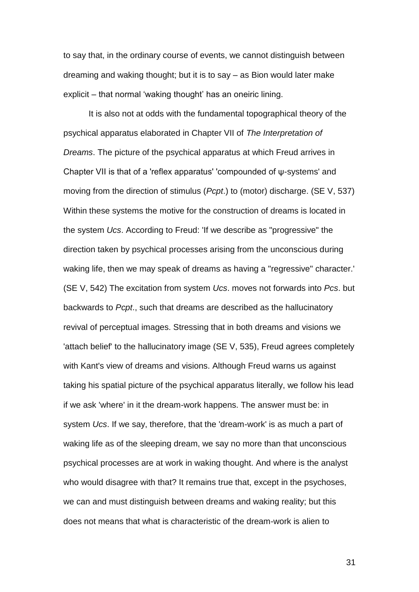to say that, in the ordinary course of events, we cannot distinguish between dreaming and waking thought; but it is to say – as Bion would later make explicit – that normal 'waking thought' has an oneiric lining.

It is also not at odds with the fundamental topographical theory of the psychical apparatus elaborated in Chapter VII of *The Interpretation of Dreams*. The picture of the psychical apparatus at which Freud arrives in Chapter VII is that of a 'reflex apparatus' 'compounded of ψ-systems' and moving from the direction of stimulus (*Pcpt*.) to (motor) discharge. (SE V, 537) Within these systems the motive for the construction of dreams is located in the system *Ucs*. According to Freud: 'If we describe as "progressive" the direction taken by psychical processes arising from the unconscious during waking life, then we may speak of dreams as having a "regressive" character.' (SE V, 542) The excitation from system *Ucs*. moves not forwards into *Pcs*. but backwards to *Pcpt*., such that dreams are described as the hallucinatory revival of perceptual images. Stressing that in both dreams and visions we 'attach belief' to the hallucinatory image (SE V, 535), Freud agrees completely with Kant's view of dreams and visions. Although Freud warns us against taking his spatial picture of the psychical apparatus literally, we follow his lead if we ask 'where' in it the dream-work happens. The answer must be: in system *Ucs*. If we say, therefore, that the 'dream-work' is as much a part of waking life as of the sleeping dream, we say no more than that unconscious psychical processes are at work in waking thought. And where is the analyst who would disagree with that? It remains true that, except in the psychoses, we can and must distinguish between dreams and waking reality; but this does not means that what is characteristic of the dream-work is alien to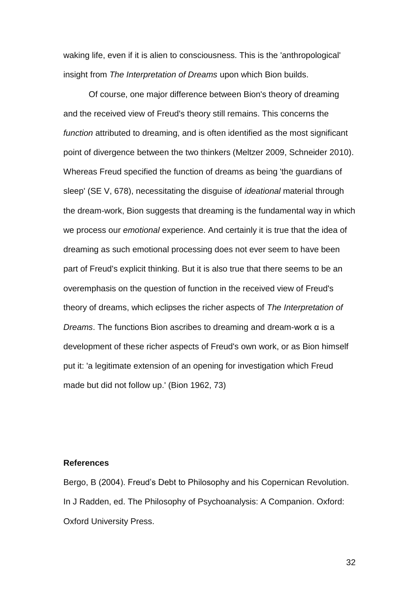waking life, even if it is alien to consciousness. This is the 'anthropological' insight from *The Interpretation of Dreams* upon which Bion builds.

Of course, one major difference between Bion's theory of dreaming and the received view of Freud's theory still remains. This concerns the *function* attributed to dreaming, and is often identified as the most significant point of divergence between the two thinkers (Meltzer 2009, Schneider 2010). Whereas Freud specified the function of dreams as being 'the guardians of sleep' (SE V, 678), necessitating the disguise of *ideational* material through the dream-work, Bion suggests that dreaming is the fundamental way in which we process our *emotional* experience. And certainly it is true that the idea of dreaming as such emotional processing does not ever seem to have been part of Freud's explicit thinking. But it is also true that there seems to be an overemphasis on the question of function in the received view of Freud's theory of dreams, which eclipses the richer aspects of *The Interpretation of Dreams*. The functions Bion ascribes to dreaming and dream-work α is a development of these richer aspects of Freud's own work, or as Bion himself put it: 'a legitimate extension of an opening for investigation which Freud made but did not follow up.' (Bion 1962, 73)

# **References**

Bergo, B (2004). Freud's Debt to Philosophy and his Copernican Revolution. In J Radden, ed. The Philosophy of Psychoanalysis: A Companion. Oxford: Oxford University Press.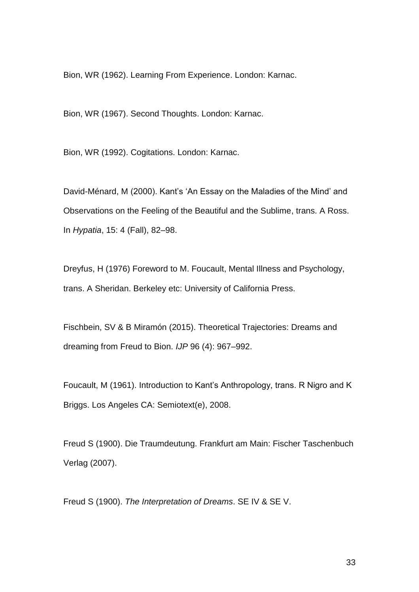Bion, WR (1962). Learning From Experience. London: Karnac.

Bion, WR (1967). Second Thoughts. London: Karnac.

Bion, WR (1992). Cogitations. London: Karnac.

David-Ménard, M (2000). Kant's 'An Essay on the Maladies of the Mind' and Observations on the Feeling of the Beautiful and the Sublime, trans. A Ross. In *Hypatia*, 15: 4 (Fall), 82–98.

Dreyfus, H (1976) Foreword to M. Foucault, Mental Illness and Psychology, trans. A Sheridan. Berkeley etc: University of California Press.

Fischbein, SV & B Miramón (2015). Theoretical Trajectories: Dreams and dreaming from Freud to Bion. *IJP* 96 (4): 967–992.

Foucault, M (1961). Introduction to Kant's Anthropology, trans. R Nigro and K Briggs. Los Angeles CA: Semiotext(e), 2008.

Freud S (1900). Die Traumdeutung. Frankfurt am Main: Fischer Taschenbuch Verlag (2007).

Freud S (1900). *The Interpretation of Dreams*. SE IV & SE V.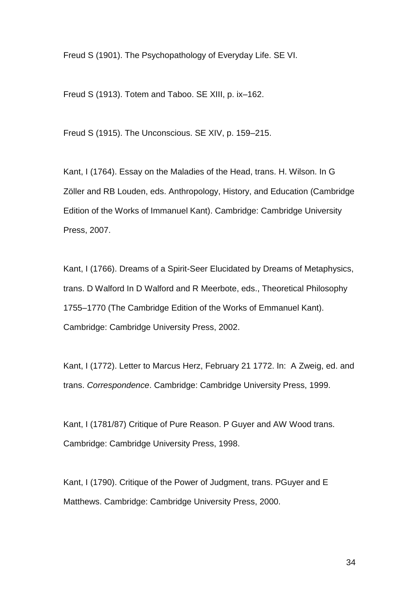Freud S (1901). The Psychopathology of Everyday Life. SE VI.

Freud S (1913). Totem and Taboo. SE XIII, p. ix–162.

Freud S (1915). The Unconscious. SE XIV, p. 159–215.

Kant, I (1764). Essay on the Maladies of the Head, trans. H. Wilson. In G Zöller and RB Louden, eds. Anthropology, History, and Education (Cambridge Edition of the Works of Immanuel Kant). Cambridge: Cambridge University Press, 2007.

Kant, I (1766). Dreams of a Spirit-Seer Elucidated by Dreams of Metaphysics, trans. D Walford In D Walford and R Meerbote, eds., Theoretical Philosophy 1755–1770 (The Cambridge Edition of the Works of Emmanuel Kant). Cambridge: Cambridge University Press, 2002.

Kant, I (1772). Letter to Marcus Herz, February 21 1772. In: A Zweig, ed. and trans. *Correspondence*. Cambridge: Cambridge University Press, 1999.

Kant, I (1781/87) Critique of Pure Reason. P Guyer and AW Wood trans. Cambridge: Cambridge University Press, 1998.

Kant, I (1790). Critique of the Power of Judgment, trans. PGuyer and E Matthews. Cambridge: Cambridge University Press, 2000.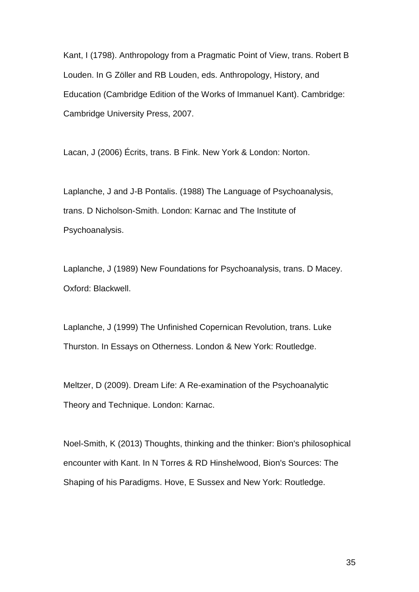Kant, I (1798). Anthropology from a Pragmatic Point of View, trans. Robert B Louden. In G Zöller and RB Louden, eds. Anthropology, History, and Education (Cambridge Edition of the Works of Immanuel Kant). Cambridge: Cambridge University Press, 2007.

Lacan, J (2006) Écrits, trans. B Fink. New York & London: Norton.

Laplanche, J and J-B Pontalis. (1988) The Language of Psychoanalysis, trans. D Nicholson-Smith. London: Karnac and The Institute of Psychoanalysis.

Laplanche, J (1989) New Foundations for Psychoanalysis, trans. D Macey. Oxford: Blackwell.

Laplanche, J (1999) The Unfinished Copernican Revolution, trans. Luke Thurston. In Essays on Otherness. London & New York: Routledge.

Meltzer, D (2009). Dream Life: A Re-examination of the Psychoanalytic Theory and Technique. London: Karnac.

Noel-Smith, K (2013) Thoughts, thinking and the thinker: Bion's philosophical encounter with Kant. In N Torres & RD Hinshelwood, Bion's Sources: The Shaping of his Paradigms. Hove, E Sussex and New York: Routledge.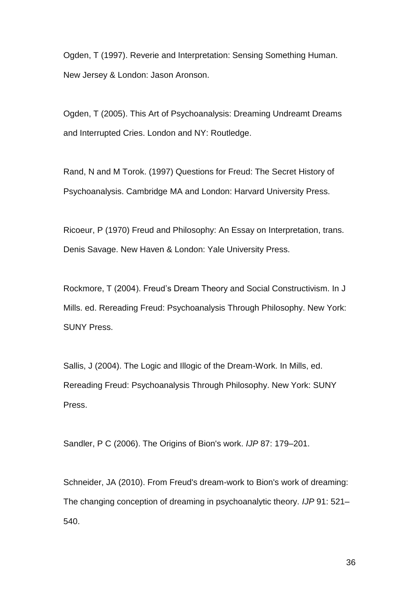Ogden, T (1997). Reverie and Interpretation: Sensing Something Human. New Jersey & London: Jason Aronson.

Ogden, T (2005). This Art of Psychoanalysis: Dreaming Undreamt Dreams and Interrupted Cries. London and NY: Routledge.

Rand, N and M Torok. (1997) Questions for Freud: The Secret History of Psychoanalysis. Cambridge MA and London: Harvard University Press.

Ricoeur, P (1970) Freud and Philosophy: An Essay on Interpretation, trans. Denis Savage. New Haven & London: Yale University Press.

Rockmore, T (2004). Freud's Dream Theory and Social Constructivism. In J Mills. ed. Rereading Freud: Psychoanalysis Through Philosophy. New York: SUNY Press.

Sallis, J (2004). The Logic and Illogic of the Dream-Work. In Mills, ed. Rereading Freud: Psychoanalysis Through Philosophy. New York: SUNY Press.

Sandler, P C (2006). The Origins of Bion's work. *IJP* 87: 179–201.

Schneider, JA (2010). From Freud's dream-work to Bion's work of dreaming: The changing conception of dreaming in psychoanalytic theory. *IJP* 91: 521– 540.